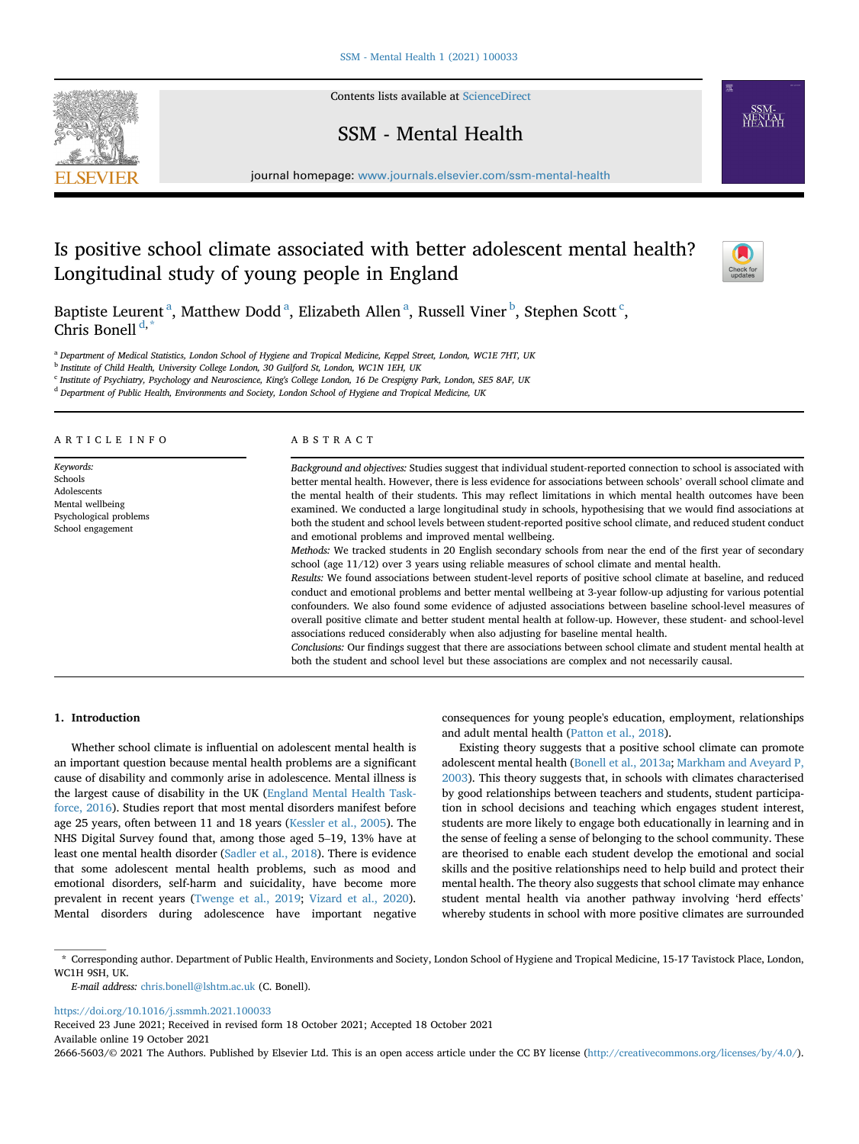Contents lists available at [ScienceDirect](www.sciencedirect.com/science/journal/26665603)

# SSM - Mental Health

journal homepage: <www.journals.elsevier.com/ssm-mental-health>

# Is positive school climate associated with better adolescent mental health? Longitudinal study of young people in England



B[a](#page-0-0)ptiste Leurent<sup>a</sup>, Matthew Dodd<sup>a</sup>, Eliza[b](#page-0-1)eth Allen<sup>a</sup>, Russell Viner<sup>b</sup>, Stephen S[c](#page-0-2)ott<sup>c</sup>, Chris Bonell<sup>[d,](#page-0-3)[\\*](#page-0-4)</sup>

<span id="page-0-0"></span>a Department of Medical Statistics, London School of Hygiene and Tropical Medicine, Keppel Street, London, WC1E 7HT, UK

<span id="page-0-1"></span><sup>b</sup> Institute of Child Health, University College London, 30 Guilford St, London, WC1N 1EH, UK

<span id="page-0-2"></span><sup>c</sup> Institute of Psychiatry, Psychology and Neuroscience, King's College London, 16 De Crespigny Park, London, SE5 8AF, UK

<span id="page-0-3"></span><sup>d</sup> Department of Public Health, Environments and Society, London School of Hygiene and Tropical Medicine, UK

ARTICLE INFO

Keywords: Schools Adolescents Mental wellbeing Psychological problems School engagement

### ABSTRACT

Background and objectives: Studies suggest that individual student-reported connection to school is associated with better mental health. However, there is less evidence for associations between schools' overall school climate and the mental health of their students. This may reflect limitations in which mental health outcomes have been examined. We conducted a large longitudinal study in schools, hypothesising that we would find associations at both the student and school levels between student-reported positive school climate, and reduced student conduct and emotional problems and improved mental wellbeing.

Methods: We tracked students in 20 English secondary schools from near the end of the first year of secondary school (age 11/12) over 3 years using reliable measures of school climate and mental health.

Results: We found associations between student-level reports of positive school climate at baseline, and reduced conduct and emotional problems and better mental wellbeing at 3-year follow-up adjusting for various potential confounders. We also found some evidence of adjusted associations between baseline school-level measures of overall positive climate and better student mental health at follow-up. However, these student- and school-level associations reduced considerably when also adjusting for baseline mental health.

Conclusions: Our findings suggest that there are associations between school climate and student mental health at both the student and school level but these associations are complex and not necessarily causal.

## 1. Introduction

Whether school climate is influential on adolescent mental health is an important question because mental health problems are a significant cause of disability and commonly arise in adolescence. Mental illness is the largest cause of disability in the UK [\(England Mental Health Task](#page-7-0)[force, 2016\)](#page-7-0). Studies report that most mental disorders manifest before age 25 years, often between 11 and 18 years ([Kessler et al., 2005\)](#page-7-1). The NHS Digital Survey found that, among those aged 5–19, 13% have at least one mental health disorder ([Sadler et al., 2018\)](#page-7-2). There is evidence that some adolescent mental health problems, such as mood and emotional disorders, self-harm and suicidality, have become more prevalent in recent years [\(Twenge et al., 2019;](#page-7-3) [Vizard et al., 2020\)](#page-7-4). Mental disorders during adolescence have important negative consequences for young people's education, employment, relationships and adult mental health ([Patton et al., 2018\)](#page-7-5).

Existing theory suggests that a positive school climate can promote adolescent mental health [\(Bonell et al., 2013a](#page-6-0); [Markham and Aveyard P,](#page-7-6) [2003\)](#page-7-6). This theory suggests that, in schools with climates characterised by good relationships between teachers and students, student participation in school decisions and teaching which engages student interest, students are more likely to engage both educationally in learning and in the sense of feeling a sense of belonging to the school community. These are theorised to enable each student develop the emotional and social skills and the positive relationships need to help build and protect their mental health. The theory also suggests that school climate may enhance student mental health via another pathway involving 'herd effects' whereby students in school with more positive climates are surrounded

<span id="page-0-4"></span>\* Corresponding author. Department of Public Health, Environments and Society, London School of Hygiene and Tropical Medicine, 15-17 Tavistock Place, London, WC1H 9SH, UK.

E-mail address: [chris.bonell@lshtm.ac.uk](mailto:chris.bonell@lshtm.ac.uk) (C. Bonell).

<https://doi.org/10.1016/j.ssmmh.2021.100033>

Received 23 June 2021; Received in revised form 18 October 2021; Accepted 18 October 2021 Available online 19 October 2021

2666-5603/© 2021 The Authors. Published by Elsevier Ltd. This is an open access article under the CC BY license ([http://creativecommons.org/licenses/by/4.0/\)](http://creativecommons.org/licenses/by/4.0/).

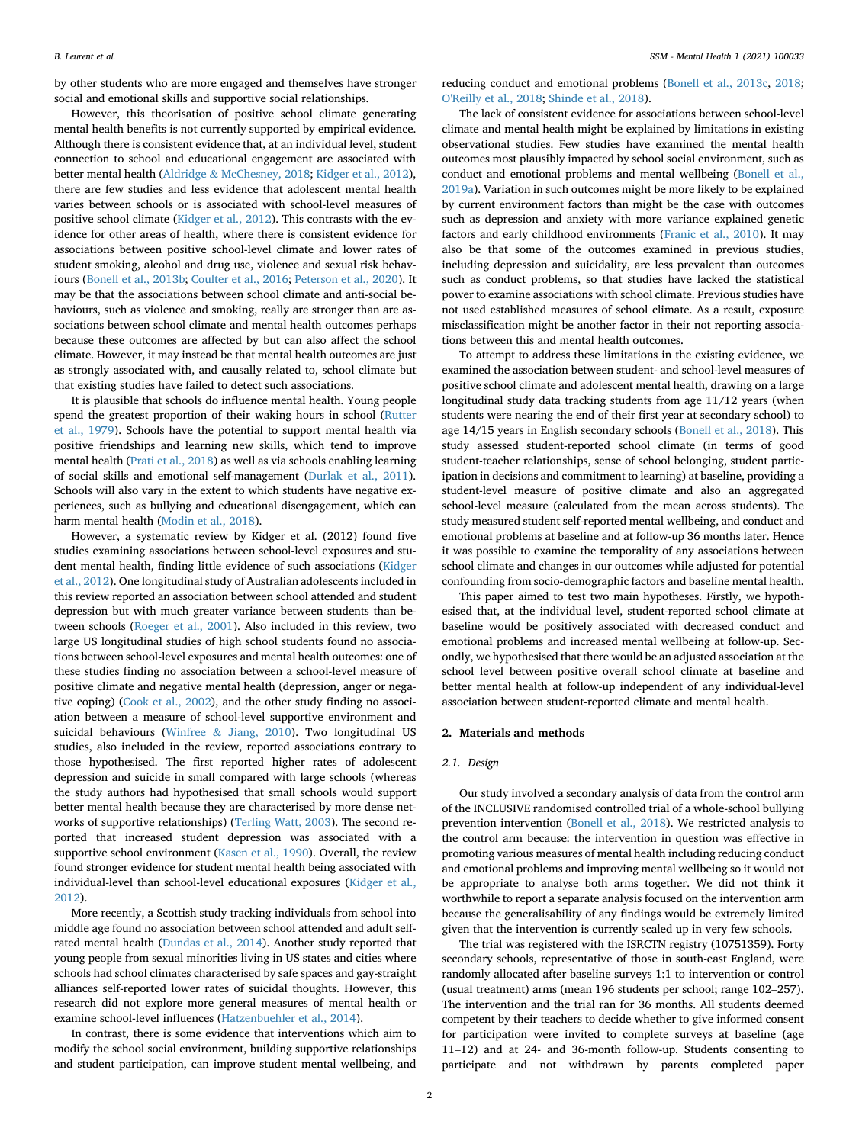by other students who are more engaged and themselves have stronger social and emotional skills and supportive social relationships.

However, this theorisation of positive school climate generating mental health benefits is not currently supported by empirical evidence. Although there is consistent evidence that, at an individual level, student connection to school and educational engagement are associated with better mental health [\(Aldridge](#page-6-1) & [McChesney, 2018](#page-6-1); [Kidger et al., 2012\)](#page-7-7), there are few studies and less evidence that adolescent mental health varies between schools or is associated with school-level measures of positive school climate [\(Kidger et al., 2012](#page-7-7)). This contrasts with the evidence for other areas of health, where there is consistent evidence for associations between positive school-level climate and lower rates of student smoking, alcohol and drug use, violence and sexual risk behaviours [\(Bonell et al., 2013b](#page-6-2); [Coulter et al., 2016](#page-6-3); [Peterson et al., 2020](#page-7-8)). It may be that the associations between school climate and anti-social behaviours, such as violence and smoking, really are stronger than are associations between school climate and mental health outcomes perhaps because these outcomes are affected by but can also affect the school climate. However, it may instead be that mental health outcomes are just as strongly associated with, and causally related to, school climate but that existing studies have failed to detect such associations.

It is plausible that schools do influence mental health. Young people spend the greatest proportion of their waking hours in school ([Rutter](#page-7-9) [et al., 1979](#page-7-9)). Schools have the potential to support mental health via positive friendships and learning new skills, which tend to improve mental health [\(Prati et al., 2018](#page-7-10)) as well as via schools enabling learning of social skills and emotional self-management ([Durlak et al., 2011\)](#page-6-4). Schools will also vary in the extent to which students have negative experiences, such as bullying and educational disengagement, which can harm mental health [\(Modin et al., 2018\)](#page-7-11).

However, a systematic review by Kidger et al. (2012) found five studies examining associations between school-level exposures and student mental health, finding little evidence of such associations ([Kidger](#page-7-7) [et al., 2012\)](#page-7-7). One longitudinal study of Australian adolescents included in this review reported an association between school attended and student depression but with much greater variance between students than between schools [\(Roeger et al., 2001\)](#page-7-12). Also included in this review, two large US longitudinal studies of high school students found no associations between school-level exposures and mental health outcomes: one of these studies finding no association between a school-level measure of positive climate and negative mental health (depression, anger or negative coping) [\(Cook et al., 2002](#page-6-5)), and the other study finding no association between a measure of school-level supportive environment and suicidal behaviours [\(Winfree](#page-7-13) & [Jiang, 2010\)](#page-7-13). Two longitudinal US studies, also included in the review, reported associations contrary to those hypothesised. The first reported higher rates of adolescent depression and suicide in small compared with large schools (whereas the study authors had hypothesised that small schools would support better mental health because they are characterised by more dense networks of supportive relationships) ([Terling Watt, 2003\)](#page-7-14). The second reported that increased student depression was associated with a supportive school environment [\(Kasen et al., 1990](#page-7-15)). Overall, the review found stronger evidence for student mental health being associated with individual-level than school-level educational exposures [\(Kidger et al.,](#page-7-7) [2012\)](#page-7-7)

More recently, a Scottish study tracking individuals from school into middle age found no association between school attended and adult selfrated mental health ([Dundas et al., 2014\)](#page-6-6). Another study reported that young people from sexual minorities living in US states and cities where schools had school climates characterised by safe spaces and gay-straight alliances self-reported lower rates of suicidal thoughts. However, this research did not explore more general measures of mental health or examine school-level influences ([Hatzenbuehler et al., 2014\)](#page-7-16).

In contrast, there is some evidence that interventions which aim to modify the school social environment, building supportive relationships and student participation, can improve student mental wellbeing, and

reducing conduct and emotional problems ([Bonell et al., 2013c,](#page-6-7) [2018;](#page-6-8) [O'Reilly et al., 2018](#page-7-17); [Shinde et al., 2018\)](#page-7-18).

The lack of consistent evidence for associations between school-level climate and mental health might be explained by limitations in existing observational studies. Few studies have examined the mental health outcomes most plausibly impacted by school social environment, such as conduct and emotional problems and mental wellbeing ([Bonell et al.,](#page-6-9) [2019a](#page-6-9)). Variation in such outcomes might be more likely to be explained by current environment factors than might be the case with outcomes such as depression and anxiety with more variance explained genetic factors and early childhood environments ([Franic et al., 2010\)](#page-7-19). It may also be that some of the outcomes examined in previous studies, including depression and suicidality, are less prevalent than outcomes such as conduct problems, so that studies have lacked the statistical power to examine associations with school climate. Previous studies have not used established measures of school climate. As a result, exposure misclassification might be another factor in their not reporting associations between this and mental health outcomes.

To attempt to address these limitations in the existing evidence, we examined the association between student- and school-level measures of positive school climate and adolescent mental health, drawing on a large longitudinal study data tracking students from age 11/12 years (when students were nearing the end of their first year at secondary school) to age 14/15 years in English secondary schools [\(Bonell et al., 2018](#page-6-8)). This study assessed student-reported school climate (in terms of good student-teacher relationships, sense of school belonging, student participation in decisions and commitment to learning) at baseline, providing a student-level measure of positive climate and also an aggregated school-level measure (calculated from the mean across students). The study measured student self-reported mental wellbeing, and conduct and emotional problems at baseline and at follow-up 36 months later. Hence it was possible to examine the temporality of any associations between school climate and changes in our outcomes while adjusted for potential confounding from socio-demographic factors and baseline mental health.

This paper aimed to test two main hypotheses. Firstly, we hypothesised that, at the individual level, student-reported school climate at baseline would be positively associated with decreased conduct and emotional problems and increased mental wellbeing at follow-up. Secondly, we hypothesised that there would be an adjusted association at the school level between positive overall school climate at baseline and better mental health at follow-up independent of any individual-level association between student-reported climate and mental health.

### 2. Materials and methods

### 2.1. Design

Our study involved a secondary analysis of data from the control arm of the INCLUSIVE randomised controlled trial of a whole-school bullying prevention intervention ([Bonell et al., 2018\)](#page-6-8). We restricted analysis to the control arm because: the intervention in question was effective in promoting various measures of mental health including reducing conduct and emotional problems and improving mental wellbeing so it would not be appropriate to analyse both arms together. We did not think it worthwhile to report a separate analysis focused on the intervention arm because the generalisability of any findings would be extremely limited given that the intervention is currently scaled up in very few schools.

The trial was registered with the ISRCTN registry (10751359). Forty secondary schools, representative of those in south-east England, were randomly allocated after baseline surveys 1:1 to intervention or control (usual treatment) arms (mean 196 students per school; range 102–257). The intervention and the trial ran for 36 months. All students deemed competent by their teachers to decide whether to give informed consent for participation were invited to complete surveys at baseline (age <sup>11</sup>–12) and at 24- and 36-month follow-up. Students consenting to participate and not withdrawn by parents completed paper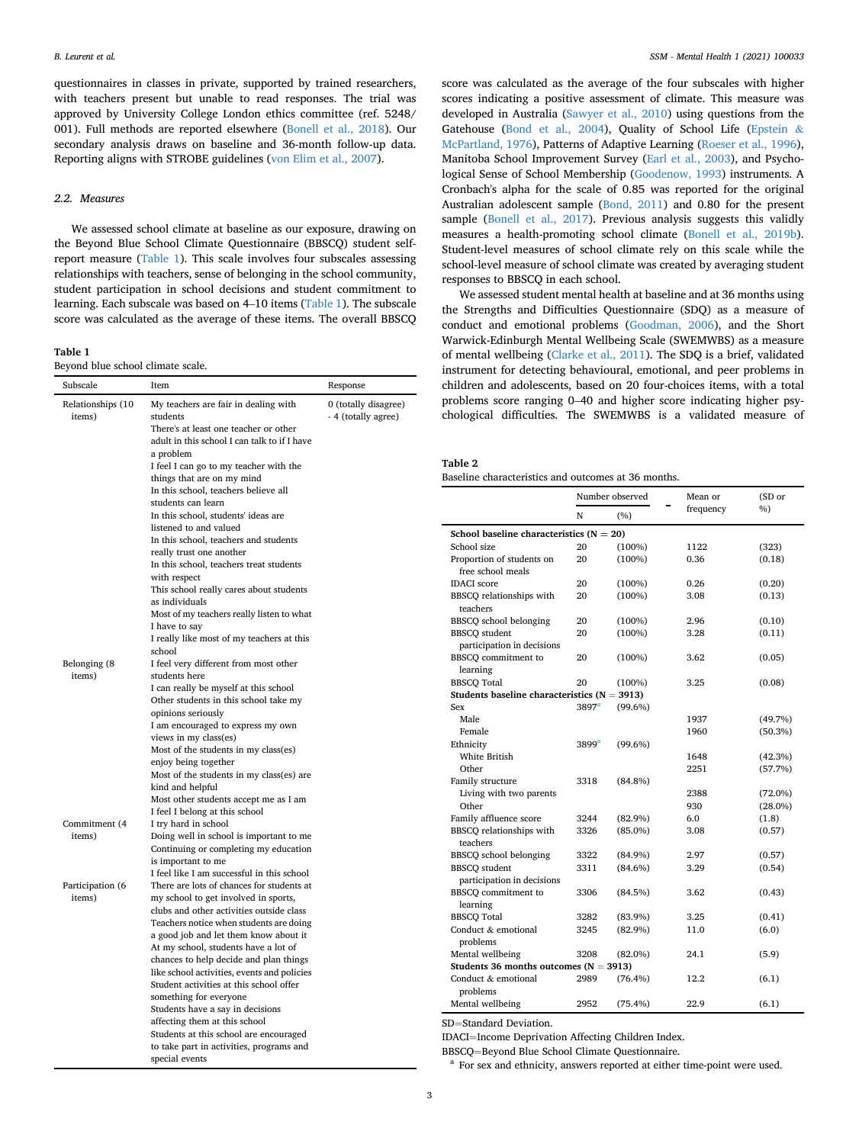questionnaires in classes in private, supported by trained researchers, with teachers present but unable to read responses. The trial was approved by University College London ethics committee (ref. 5248/ 001). Full methods are reported elsewhere ([Bonell et al., 2018\)](#page-6-8). Our secondary analysis draws on baseline and 36-month follow-up data. Reporting aligns with STROBE guidelines ([von Elim et al., 2007](#page-6-10)).

### 2.2. Measures

We assessed school climate at baseline as our exposure, drawing on the Beyond Blue School Climate Questionnaire (BBSCQ) student selfreport measure ([Table 1\)](#page-2-0). This scale involves four subscales assessing relationships with teachers, sense of belonging in the school community, student participation in school decisions and student commitment to learning. Each subscale was based on 4–10 items ([Table 1](#page-2-0)). The subscale score was calculated as the average of these items. The overall BBSCQ

<span id="page-2-0"></span>Table 1

Beyond blue school climate scale.

| Subscale                    | Item                                                                                  | Response                                    |
|-----------------------------|---------------------------------------------------------------------------------------|---------------------------------------------|
| Relationships (10<br>items) | My teachers are fair in dealing with<br>students                                      | 0 (totally disagree)<br>- 4 (totally agree) |
|                             | There's at least one teacher or other                                                 |                                             |
|                             | adult in this school I can talk to if I have<br>a problem                             |                                             |
|                             | I feel I can go to my teacher with the                                                |                                             |
|                             | things that are on my mind                                                            |                                             |
|                             | In this school, teachers believe all                                                  |                                             |
|                             | students can learn                                                                    |                                             |
|                             | In this school, students' ideas are                                                   |                                             |
|                             | listened to and valued                                                                |                                             |
|                             | In this school, teachers and students                                                 |                                             |
|                             | really trust one another                                                              |                                             |
|                             | In this school, teachers treat students                                               |                                             |
|                             | with respect                                                                          |                                             |
|                             | This school really cares about students                                               |                                             |
|                             | as individuals                                                                        |                                             |
|                             | Most of my teachers really listen to what                                             |                                             |
|                             | I have to say<br>I really like most of my teachers at this                            |                                             |
|                             | school                                                                                |                                             |
| Belonging (8                | I feel very different from most other                                                 |                                             |
| items)                      | students here                                                                         |                                             |
|                             | I can really be myself at this school                                                 |                                             |
|                             | Other students in this school take my                                                 |                                             |
|                             | opinions seriously                                                                    |                                             |
|                             | I am encouraged to express my own                                                     |                                             |
|                             | views in my class(es)                                                                 |                                             |
|                             | Most of the students in my class(es)                                                  |                                             |
|                             | enjoy being together                                                                  |                                             |
|                             | Most of the students in my class(es) are                                              |                                             |
|                             | kind and helpful<br>Most other students accept me as I am                             |                                             |
|                             | I feel I belong at this school                                                        |                                             |
| Commitment (4               | I try hard in school                                                                  |                                             |
| items)                      | Doing well in school is important to me                                               |                                             |
|                             | Continuing or completing my education                                                 |                                             |
|                             | is important to me                                                                    |                                             |
|                             | I feel like I am successful in this school                                            |                                             |
| Participation (6            | There are lots of chances for students at                                             |                                             |
| items)                      | my school to get involved in sports,                                                  |                                             |
|                             | clubs and other activities outside class                                              |                                             |
|                             | Teachers notice when students are doing                                               |                                             |
|                             | a good job and let them know about it                                                 |                                             |
|                             | At my school, students have a lot of                                                  |                                             |
|                             | chances to help decide and plan things<br>like school activities, events and policies |                                             |
|                             | Student activities at this school offer                                               |                                             |
|                             | something for everyone                                                                |                                             |
|                             | Students have a say in decisions                                                      |                                             |
|                             | affecting them at this school                                                         |                                             |
|                             | Students at this school are encouraged                                                |                                             |
|                             | to take part in activities, programs and                                              |                                             |
|                             | special events                                                                        |                                             |

score was calculated as the average of the four subscales with higher scores indicating a positive assessment of climate. This measure was developed in Australia ([Sawyer et al., 2010\)](#page-7-20) using questions from the Gatehouse ([Bond et al., 2004](#page-6-11)), Quality of School Life [\(Epstein](#page-6-12) & [McPartland, 1976](#page-6-12)), Patterns of Adaptive Learning ([Roeser et al., 1996\)](#page-7-21), Manitoba School Improvement Survey ([Earl et al., 2003\)](#page-6-13), and Psychological Sense of School Membership [\(Goodenow, 1993](#page-7-22)) instruments. A Cronbach's alpha for the scale of 0.85 was reported for the original Australian adolescent sample [\(Bond, 2011](#page-6-14)) and 0.80 for the present sample [\(Bonell et al., 2017](#page-6-15)). Previous analysis suggests this validly measures a health-promoting school climate [\(Bonell et al., 2019b\)](#page-6-16). Student-level measures of school climate rely on this scale while the school-level measure of school climate was created by averaging student responses to BBSCQ in each school.

We assessed student mental health at baseline and at 36 months using the Strengths and Difficulties Questionnaire (SDQ) as a measure of conduct and emotional problems ([Goodman, 2006](#page-7-23)), and the Short Warwick-Edinburgh Mental Wellbeing Scale (SWEMWBS) as a measure of mental wellbeing [\(Clarke et al., 2011\)](#page-6-17). The SDQ is a brief, validated instrument for detecting behavioural, emotional, and peer problems in children and adolescents, based on 20 four-choices items, with a total problems score ranging 0–40 and higher score indicating higher psychological difficulties. The SWEMWBS is a validated measure of

<span id="page-2-2"></span>

| abl<br>١€ |  |
|-----------|--|
|-----------|--|

| Baseline characteristics and outcomes at 36 months. |  |
|-----------------------------------------------------|--|
|-----------------------------------------------------|--|

|                                                                   |                   | Number observed | Mean or   | (SD or     |
|-------------------------------------------------------------------|-------------------|-----------------|-----------|------------|
|                                                                   | N                 | (%)             | frequency | $\%$       |
| School baseline characteristics ( $N = 20$ )                      |                   |                 |           |            |
| School size                                                       | 20                | $(100\%)$       | 1122      | (323)      |
| Proportion of students on<br>free school meals                    | 20                | $(100\%)$       | 0.36      | (0.18)     |
| <b>IDACI</b> score                                                | 20                | $(100\%)$       | 0.26      | (0.20)     |
| BBSCQ relationships with<br>teachers                              | 20                | (100%)          | 3.08      | (0.13)     |
| <b>BBSCQ</b> school belonging                                     | 20                | $(100\%)$       | 2.96      | (0.10)     |
| <b>BBSCO</b> student                                              | 20                | $(100\%)$       | 3.28      | (0.11)     |
| participation in decisions                                        |                   |                 |           |            |
| BBSCO commitment to<br>learning                                   | 20                | $(100\%)$       | 3.62      | (0.05)     |
| <b>BBSCO</b> Total                                                | 20                | $(100\%)$       | 3.25      | (0.08)     |
| Students baseline characteristics $(N = 3913)$                    |                   |                 |           |            |
| Sex                                                               | 3897 <sup>a</sup> | $(99.6\%)$      |           |            |
| Male                                                              |                   |                 | 1937      | (49.7%)    |
| Female                                                            |                   |                 | 1960      | $(50.3\%)$ |
| Ethnicity                                                         | 3899 <sup>a</sup> | $(99.6\%)$      |           |            |
| White British                                                     |                   |                 | 1648      | (42.3%)    |
| Other                                                             |                   |                 | 2251      | (57.7%)    |
| Family structure                                                  | 3318              | $(84.8\%)$      |           |            |
| Living with two parents                                           |                   |                 | 2388      | $(72.0\%)$ |
| Other                                                             |                   |                 | 930       | $(28.0\%)$ |
| Family affluence score                                            | 3244              | $(82.9\%)$      | 6.0       | (1.8)      |
| BBSCQ relationships with<br>teachers                              | 3326              | $(85.0\%)$      | 3.08      | (0.57)     |
| <b>BBSCQ</b> school belonging                                     | 3322              | $(84.9\%)$      | 2.97      | (0.57)     |
| <b>BBSCQ</b> student<br>participation in decisions                | 3311              | $(84.6\%)$      | 3.29      | (0.54)     |
| BBSCO commitment to<br>learning                                   | 3306              | (84.5%)         | 3.62      | (0.43)     |
| <b>BBSCO</b> Total                                                | 3282              | $(83.9\%)$      | 3.25      | (0.41)     |
| Conduct & emotional                                               | 3245              | $(82.9\%)$      | 11.0      | (6.0)      |
| problems                                                          |                   |                 |           |            |
| Mental wellbeing                                                  | 3208              | $(82.0\%)$      | 24.1      | (5.9)      |
| Students 36 months outcomes ( $N = 3913$ )<br>Conduct & emotional | 2989              |                 | 12.2      |            |
| problems                                                          |                   | $(76.4\%)$      |           | (6.1)      |
| Mental wellbeing                                                  | 2952              | $(75.4\%)$      | 22.9      | (6.1)      |

SD=Standard Deviation.

IDACI=Income Deprivation Affecting Children Index.<br>BBSCQ=Beyond Blue School Climate Questionnaire.

<span id="page-2-1"></span><sup>a</sup> For sex and ethnicity, answers reported at either time-point were used.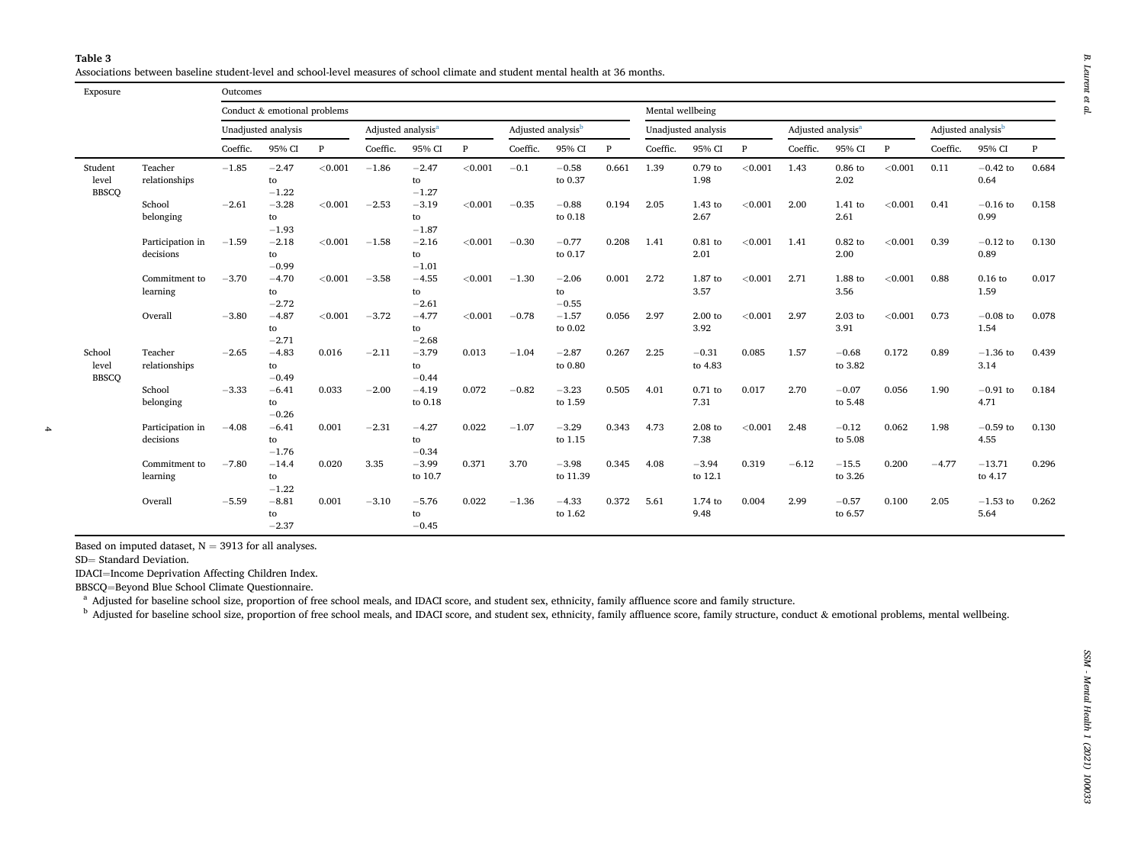<span id="page-3-1"></span><span id="page-3-0"></span>Associations between baseline student-level and school-level measures of school climate and student mental health at 36 months.

<span id="page-3-2"></span>

|                                  |                               |                     | Conduct & emotional problems<br>Mental wellbeing |                                |          |                                |              |                     |                               |                                |          |                                |              |          |                    |              |          |                           |       |
|----------------------------------|-------------------------------|---------------------|--------------------------------------------------|--------------------------------|----------|--------------------------------|--------------|---------------------|-------------------------------|--------------------------------|----------|--------------------------------|--------------|----------|--------------------|--------------|----------|---------------------------|-------|
|                                  |                               | Unadjusted analysis |                                                  | Adjusted analysis <sup>a</sup> |          | Adjusted analysis <sup>b</sup> |              | Unadjusted analysis |                               | Adjusted analysis <sup>a</sup> |          | Adjusted analysis <sup>b</sup> |              |          |                    |              |          |                           |       |
|                                  |                               | Coeffic.            | 95% CI                                           | $\mathbf{P}$                   | Coeffic. | 95% CI                         | $\mathbf{P}$ | Coeffic.            | 95% CI                        | $\mathbf{P}$                   | Coeffic. | 95% CI                         | $\mathbf{P}$ | Coeffic. | 95% CI             | $\mathbf{P}$ | Coeffic. | 95% CI                    | P     |
| Student<br>level<br><b>BBSCO</b> | Teacher<br>relationships      | $-1.85$             | $-2.47$<br>to<br>$-1.22$                         | < 0.001                        | $-1.86$  | $-2.47$<br>to<br>$-1.27$       | < 0.001      | $-0.1$              | $-0.58$<br>to 0.37            | 0.661                          | 1.39     | 0.79 to<br>1.98                | < 0.001      | 1.43     | $0.86$ to<br>2.02  | < 0.001      | 0.11     | $-0.42$ to<br>0.64        | 0.684 |
|                                  | School<br>belonging           | $-2.61$             | $-3.28$<br>to<br>$-1.93$                         | < 0.001                        | $-2.53$  | $-3.19$<br>to<br>$-1.87$       | < 0.001      | $-0.35$             | $-0.88$<br>to 0.18            | 0.194                          | 2.05     | 1.43 to<br>2.67                | < 0.001      | 2.00     | 1.41 to<br>2.61    | < 0.001      | 0.41     | $-0.16$ to<br>0.99        | 0.158 |
|                                  | Participation in<br>decisions | $-1.59$             | $-2.18$<br>to<br>$-0.99$                         | < 0.001                        | $-1.58$  | $-2.16$<br>to<br>$-1.01$       | < 0.001      | $-0.30$             | $-0.77$<br>to 0.17            | 0.208                          | 1.41     | $0.81$ to<br>2.01              | < 0.001      | 1.41     | $0.82$ to<br>2.00  | < 0.001      | 0.39     | $-0.12$ to<br>0.89        | 0.130 |
|                                  | Commitment to<br>learning     | $-3.70$             | $-4.70$<br>to                                    | < 0.001                        | $-3.58$  | $-4.55$<br>to                  | < 0.001      | $-1.30$             | $-2.06$<br>to                 | 0.001                          | 2.72     | 1.87 to<br>3.57                | < 0.001      | 2.71     | 1.88 to<br>3.56    | < 0.001      | 0.88     | $0.16$ to<br>1.59         | 0.017 |
|                                  | Overall                       | $-3.80$             | $-2.72$<br>$-4.87$<br>to                         | < 0.001                        | $-3.72$  | $-2.61$<br>$-4.77$<br>to       | < 0.001      | $-0.78$             | $-0.55$<br>$-1.57$<br>to 0.02 | 0.056                          | 2.97     | $2.00$ to<br>3.92              | < 0.001      | 2.97     | 2.03 to<br>3.91    | < 0.001      | 0.73     | $-0.08$ to<br>1.54        | 0.078 |
| School<br>level                  | Teacher<br>relationships      | $-2.65$             | $-2.71$<br>$-4.83$<br>to                         | 0.016                          | $-2.11$  | $-2.68$<br>$-3.79$<br>to       | 0.013        | $-1.04$             | $-2.87$<br>to 0.80            | 0.267                          | 2.25     | $-0.31$<br>to 4.83             | 0.085        | 1.57     | $-0.68$<br>to 3.82 | 0.172        | 0.89     | $-1.36$ to<br>3.14        | 0.439 |
| <b>BBSCQ</b>                     | School<br>belonging           | $-3.33$             | $-0.49$<br>$-6.41$<br>to<br>$-0.26$              | 0.033                          | $-2.00$  | $-0.44$<br>$-4.19$<br>to 0.18  | 0.072        | $-0.82$             | $-3.23$<br>to 1.59            | 0.505                          | 4.01     | $0.71$ to<br>7.31              | 0.017        | 2.70     | $-0.07$<br>to 5.48 | 0.056        | 1.90     | $-0.91\ {\rm to}$<br>4.71 | 0.184 |
|                                  | Participation in<br>decisions | $-4.08$             | $-6.41$<br>to<br>$-1.76$                         | 0.001                          | $-2.31$  | $-4.27$<br>to<br>$-0.34$       | 0.022        | $-1.07$             | $-3.29$<br>to 1.15            | 0.343                          | 4.73     | 2.08 to<br>7.38                | < 0.001      | 2.48     | $-0.12$<br>to 5.08 | 0.062        | 1.98     | $-0.59$ to<br>4.55        | 0.130 |
|                                  | Commitment to<br>learning     | $-7.80$             | $-14.4$<br>to<br>$-1.22$                         | 0.020                          | 3.35     | $-3.99$<br>to 10.7             | 0.371        | 3.70                | $-3.98$<br>to 11.39           | 0.345                          | 4.08     | $-3.94$<br>to 12.1             | 0.319        | $-6.12$  | $-15.5$<br>to 3.26 | 0.200        | $-4.77$  | $-13.71$<br>to 4.17       | 0.296 |
|                                  | Overall                       | $-5.59$             | $-8.81$<br>to<br>$-2.37$                         | 0.001                          | $-3.10$  | $-5.76$<br>to<br>$-0.45$       | 0.022        | $-1.36$             | $-4.33$<br>to 1.62            | 0.372                          | 5.61     | 1.74 to<br>9.48                | 0.004        | 2.99     | $-0.57$<br>to 6.57 | 0.100        | 2.05     | $-1.53$ to<br>5.64        | 0.262 |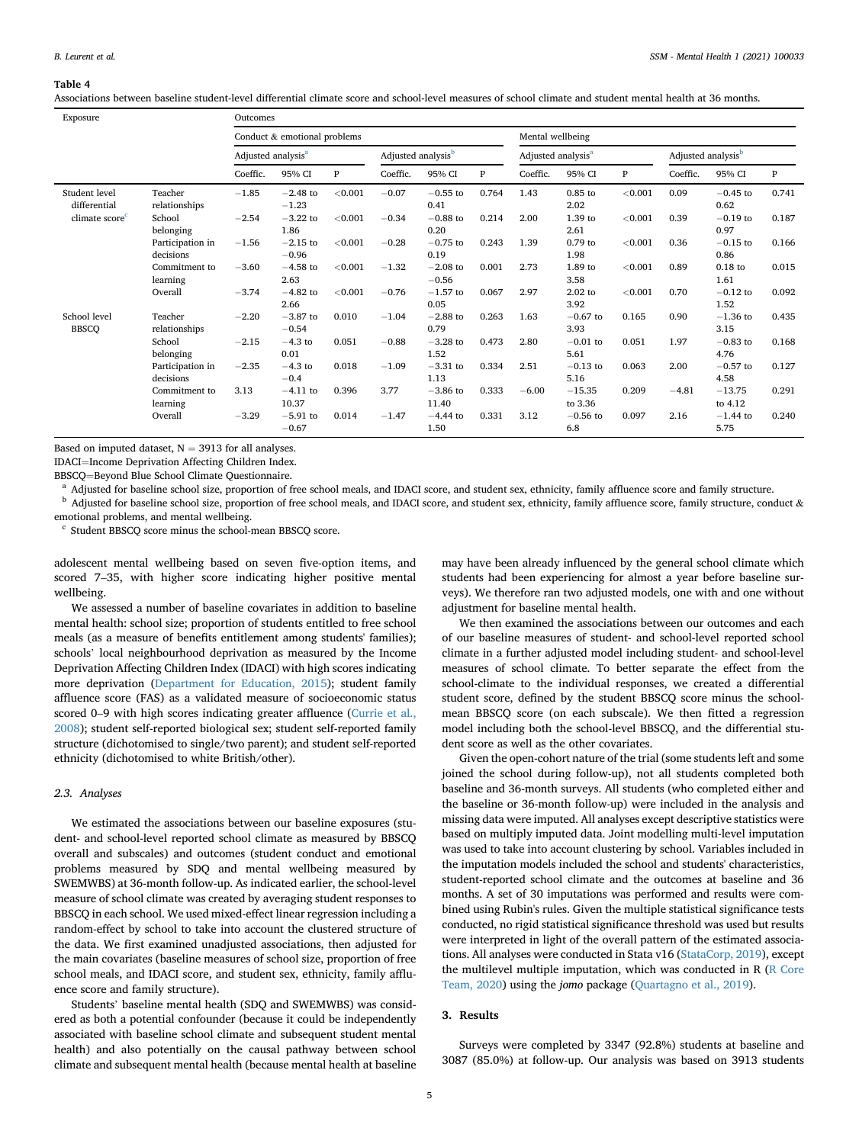#### <span id="page-4-3"></span>Table 4

Associations between baseline student-level differential climate score and school-level measures of school climate and student mental health at 36 months.

| Exposure                                                    |                               | Outcomes                       |                       |         |                                |                       |       |                                |                     |         |                                |                     |              |
|-------------------------------------------------------------|-------------------------------|--------------------------------|-----------------------|---------|--------------------------------|-----------------------|-------|--------------------------------|---------------------|---------|--------------------------------|---------------------|--------------|
|                                                             |                               | Conduct & emotional problems   |                       |         |                                | Mental wellbeing      |       |                                |                     |         |                                |                     |              |
|                                                             |                               | Adjusted analysis <sup>a</sup> |                       |         | Adjusted analysis <sup>b</sup> |                       |       | Adjusted analysis <sup>a</sup> |                     |         | Adjusted analysis <sup>b</sup> |                     |              |
|                                                             |                               | Coeffic.                       | 95% CI                | P       | Coeffic.                       | 95% CI                | P     | Coeffic.                       | 95% CI              | P       | Coeffic.                       | 95% CI              | $\mathbf{P}$ |
| Student level<br>differential<br>climate score <sup>c</sup> | Teacher<br>relationships      | $-1.85$                        | $-2.48$ to<br>$-1.23$ | < 0.001 | $-0.07$                        | $-0.55$ to<br>0.41    | 0.764 | 1.43                           | $0.85$ to<br>2.02   | < 0.001 | 0.09                           | $-0.45$ to<br>0.62  | 0.741        |
|                                                             | School<br>belonging           | $-2.54$                        | $-3.22$ to<br>1.86    | < 0.001 | $-0.34$                        | $-0.88$ to<br>0.20    | 0.214 | 2.00                           | 1.39 to<br>2.61     | < 0.001 | 0.39                           | $-0.19$ to<br>0.97  | 0.187        |
|                                                             | Participation in<br>decisions | $-1.56$                        | $-2.15$ to<br>$-0.96$ | < 0.001 | $-0.28$                        | $-0.75$ to<br>0.19    | 0.243 | 1.39                           | $0.79$ to<br>1.98   | < 0.001 | 0.36                           | $-0.15$ to<br>0.86  | 0.166        |
|                                                             | Commitment to<br>learning     | $-3.60$                        | $-4.58$ to<br>2.63    | < 0.001 | $-1.32$                        | $-2.08$ to<br>$-0.56$ | 0.001 | 2.73                           | 1.89 to<br>3.58     | < 0.001 | 0.89                           | $0.18$ to<br>1.61   | 0.015        |
|                                                             | Overall                       | $-3.74$                        | $-4.82$ to<br>2.66    | < 0.001 | $-0.76$                        | $-1.57$ to<br>0.05    | 0.067 | 2.97                           | $2.02$ to<br>3.92   | < 0.001 | 0.70                           | $-0.12$ to<br>1.52  | 0.092        |
| School level<br><b>BBSCQ</b>                                | Teacher<br>relationships      | $-2.20$                        | $-3.87$ to<br>$-0.54$ | 0.010   | $-1.04$                        | $-2.88$ to<br>0.79    | 0.263 | 1.63                           | $-0.67$ to<br>3.93  | 0.165   | 0.90                           | $-1.36$ to<br>3.15  | 0.435        |
|                                                             | School<br>belonging           | $-2.15$                        | $-4.3$ to<br>0.01     | 0.051   | $-0.88$                        | $-3.28$ to<br>1.52    | 0.473 | 2.80                           | $-0.01$ to<br>5.61  | 0.051   | 1.97                           | $-0.83$ to<br>4.76  | 0.168        |
|                                                             | Participation in<br>decisions | $-2.35$                        | $-4.3$ to<br>$-0.4$   | 0.018   | $-1.09$                        | $-3.31$ to<br>1.13    | 0.334 | 2.51                           | $-0.13$ to<br>5.16  | 0.063   | 2.00                           | $-0.57$ to<br>4.58  | 0.127        |
|                                                             | Commitment to<br>learning     | 3.13                           | $-4.11$ to<br>10.37   | 0.396   | 3.77                           | $-3.86$ to<br>11.40   | 0.333 | $-6.00$                        | $-15.35$<br>to 3.36 | 0.209   | $-4.81$                        | $-13.75$<br>to 4.12 | 0.291        |
|                                                             | Overall                       | $-3.29$                        | $-5.91$ to<br>$-0.67$ | 0.014   | $-1.47$                        | $-4.44$ to<br>1.50    | 0.331 | 3.12                           | $-0.56$ to<br>6.8   | 0.097   | 2.16                           | $-1.44$ to<br>5.75  | 0.240        |

Based on imputed dataset,  $N = 3913$  for all analyses.

IDACI=Income Deprivation Affecting Children Index.<br>BBSCQ=Beyond Blue School Climate Questionnaire.

<span id="page-4-0"></span><sup>a</sup> Adjusted for baseline school size, proportion of free school meals, and IDACI score, and student sex, ethnicity, family affluence score and family structure.

<span id="page-4-1"></span><sup>b</sup> Adjusted for baseline school size, proportion of free school meals, and IDACI score, and student sex, ethnicity, family affluence score, family structure, conduct & emotional problems, and mental wellbeing.

<span id="page-4-2"></span><sup>c</sup> Student BBSCQ score minus the school-mean BBSCQ score.

adolescent mental wellbeing based on seven five-option items, and scored 7–35, with higher score indicating higher positive mental wellbeing.

We assessed a number of baseline covariates in addition to baseline mental health: school size; proportion of students entitled to free school meals (as a measure of benefits entitlement among students' families); schools' local neighbourhood deprivation as measured by the Income Deprivation Affecting Children Index (IDACI) with high scores indicating more deprivation ([Department for Education, 2015\)](#page-6-18); student family affluence score (FAS) as a validated measure of socioeconomic status scored 0–9 with high scores indicating greater affluence ([Currie et al.,](#page-6-19) [2008\)](#page-6-19); student self-reported biological sex; student self-reported family structure (dichotomised to single/two parent); and student self-reported ethnicity (dichotomised to white British/other).

### 2.3. Analyses

We estimated the associations between our baseline exposures (student- and school-level reported school climate as measured by BBSCQ overall and subscales) and outcomes (student conduct and emotional problems measured by SDQ and mental wellbeing measured by SWEMWBS) at 36-month follow-up. As indicated earlier, the school-level measure of school climate was created by averaging student responses to BBSCQ in each school. We used mixed-effect linear regression including a random-effect by school to take into account the clustered structure of the data. We first examined unadjusted associations, then adjusted for the main covariates (baseline measures of school size, proportion of free school meals, and IDACI score, and student sex, ethnicity, family affluence score and family structure).

Students' baseline mental health (SDQ and SWEMWBS) was considered as both a potential confounder (because it could be independently associated with baseline school climate and subsequent student mental health) and also potentially on the causal pathway between school climate and subsequent mental health (because mental health at baseline

may have been already influenced by the general school climate which students had been experiencing for almost a year before baseline surveys). We therefore ran two adjusted models, one with and one without adjustment for baseline mental health.

We then examined the associations between our outcomes and each of our baseline measures of student- and school-level reported school climate in a further adjusted model including student- and school-level measures of school climate. To better separate the effect from the school-climate to the individual responses, we created a differential student score, defined by the student BBSCQ score minus the schoolmean BBSCQ score (on each subscale). We then fitted a regression model including both the school-level BBSCQ, and the differential student score as well as the other covariates.

Given the open-cohort nature of the trial (some students left and some joined the school during follow-up), not all students completed both baseline and 36-month surveys. All students (who completed either and the baseline or 36-month follow-up) were included in the analysis and missing data were imputed. All analyses except descriptive statistics were based on multiply imputed data. Joint modelling multi-level imputation was used to take into account clustering by school. Variables included in the imputation models included the school and students' characteristics, student-reported school climate and the outcomes at baseline and 36 months. A set of 30 imputations was performed and results were combined using Rubin's rules. Given the multiple statistical significance tests conducted, no rigid statistical significance threshold was used but results were interpreted in light of the overall pattern of the estimated associations. All analyses were conducted in Stata v16 [\(StataCorp, 2019](#page-7-24)), except the multilevel multiple imputation, which was conducted in R [\(R Core](#page-7-25) [Team, 2020](#page-7-25)) using the jomo package [\(Quartagno et al., 2019](#page-7-26)).

### 3. Results

Surveys were completed by 3347 (92.8%) students at baseline and 3087 (85.0%) at follow-up. Our analysis was based on 3913 students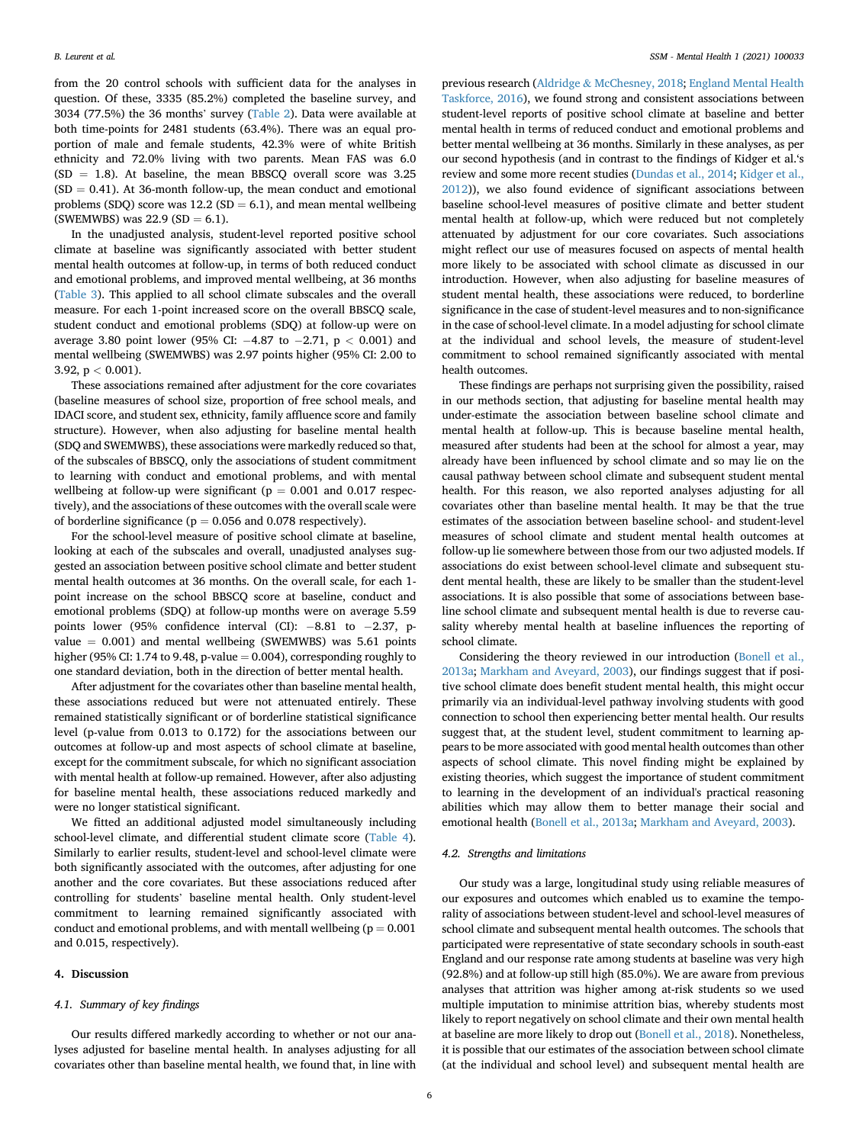from the 20 control schools with sufficient data for the analyses in question. Of these, 3335 (85.2%) completed the baseline survey, and 3034 (77.5%) the 36 months' survey ([Table 2](#page-2-2)). Data were available at both time-points for 2481 students (63.4%). There was an equal proportion of male and female students, 42.3% were of white British ethnicity and 72.0% living with two parents. Mean FAS was 6.0  $(SD = 1.8)$ . At baseline, the mean BBSCQ overall score was 3.25  $(SD = 0.41)$ . At 36-month follow-up, the mean conduct and emotional problems (SDQ) score was  $12.2$  (SD = 6.1), and mean mental wellbeing (SWEMWBS) was  $22.9$  (SD = 6.1).

In the unadjusted analysis, student-level reported positive school climate at baseline was significantly associated with better student mental health outcomes at follow-up, in terms of both reduced conduct and emotional problems, and improved mental wellbeing, at 36 months ([Table 3\)](#page-3-2). This applied to all school climate subscales and the overall measure. For each 1-point increased score on the overall BBSCQ scale, student conduct and emotional problems (SDQ) at follow-up were on average 3.80 point lower (95% CI:  $-4.87$  to  $-2.71$ ,  $p < 0.001$ ) and mental wellbeing (SWEMWBS) was 2.97 points higher (95% CI: 2.00 to 3.92,  $p < 0.001$ ).

These associations remained after adjustment for the core covariates (baseline measures of school size, proportion of free school meals, and IDACI score, and student sex, ethnicity, family affluence score and family structure). However, when also adjusting for baseline mental health (SDQ and SWEMWBS), these associations were markedly reduced so that, of the subscales of BBSCQ, only the associations of student commitment to learning with conduct and emotional problems, and with mental wellbeing at follow-up were significant ( $p = 0.001$  and 0.017 respectively), and the associations of these outcomes with the overall scale were of borderline significance ( $p = 0.056$  and 0.078 respectively).

For the school-level measure of positive school climate at baseline, looking at each of the subscales and overall, unadjusted analyses suggested an association between positive school climate and better student mental health outcomes at 36 months. On the overall scale, for each 1 point increase on the school BBSCQ score at baseline, conduct and emotional problems (SDQ) at follow-up months were on average 5.59 points lower (95% confidence interval (CI):  $-8.81$  to  $-2.37$ , pvalue  $= 0.001$ ) and mental wellbeing (SWEMWBS) was 5.61 points higher (95% CI: 1.74 to 9.48, p-value  $= 0.004$ ), corresponding roughly to one standard deviation, both in the direction of better mental health.

After adjustment for the covariates other than baseline mental health, these associations reduced but were not attenuated entirely. These remained statistically significant or of borderline statistical significance level (p-value from 0.013 to 0.172) for the associations between our outcomes at follow-up and most aspects of school climate at baseline, except for the commitment subscale, for which no significant association with mental health at follow-up remained. However, after also adjusting for baseline mental health, these associations reduced markedly and were no longer statistical significant.

We fitted an additional adjusted model simultaneously including school-level climate, and differential student climate score [\(Table 4\)](#page-4-3). Similarly to earlier results, student-level and school-level climate were both significantly associated with the outcomes, after adjusting for one another and the core covariates. But these associations reduced after controlling for students' baseline mental health. Only student-level commitment to learning remained significantly associated with conduct and emotional problems, and with mentall wellbeing ( $p = 0.001$ ) and 0.015, respectively).

#### 4. Discussion

### 4.1. Summary of key findings

Our results differed markedly according to whether or not our analyses adjusted for baseline mental health. In analyses adjusting for all covariates other than baseline mental health, we found that, in line with previous research [\(Aldridge](#page-6-1) & [McChesney, 2018;](#page-6-1) [England Mental Health](#page-7-0) [Taskforce, 2016\)](#page-7-0), we found strong and consistent associations between student-level reports of positive school climate at baseline and better mental health in terms of reduced conduct and emotional problems and better mental wellbeing at 36 months. Similarly in these analyses, as per our second hypothesis (and in contrast to the findings of Kidger et al.'s review and some more recent studies [\(Dundas et al., 2014;](#page-6-6) [Kidger et al.,](#page-7-7) [2012\)](#page-7-7)), we also found evidence of significant associations between baseline school-level measures of positive climate and better student mental health at follow-up, which were reduced but not completely attenuated by adjustment for our core covariates. Such associations might reflect our use of measures focused on aspects of mental health more likely to be associated with school climate as discussed in our introduction. However, when also adjusting for baseline measures of student mental health, these associations were reduced, to borderline significance in the case of student-level measures and to non-significance in the case of school-level climate. In a model adjusting for school climate at the individual and school levels, the measure of student-level commitment to school remained significantly associated with mental health outcomes.

These findings are perhaps not surprising given the possibility, raised in our methods section, that adjusting for baseline mental health may under-estimate the association between baseline school climate and mental health at follow-up. This is because baseline mental health, measured after students had been at the school for almost a year, may already have been influenced by school climate and so may lie on the causal pathway between school climate and subsequent student mental health. For this reason, we also reported analyses adjusting for all covariates other than baseline mental health. It may be that the true estimates of the association between baseline school- and student-level measures of school climate and student mental health outcomes at follow-up lie somewhere between those from our two adjusted models. If associations do exist between school-level climate and subsequent student mental health, these are likely to be smaller than the student-level associations. It is also possible that some of associations between baseline school climate and subsequent mental health is due to reverse causality whereby mental health at baseline influences the reporting of school climate.

Considering the theory reviewed in our introduction [\(Bonell et al.,](#page-6-0) [2013a](#page-6-0); [Markham and Aveyard, 2003](#page-7-6)), our findings suggest that if positive school climate does benefit student mental health, this might occur primarily via an individual-level pathway involving students with good connection to school then experiencing better mental health. Our results suggest that, at the student level, student commitment to learning appears to be more associated with good mental health outcomes than other aspects of school climate. This novel finding might be explained by existing theories, which suggest the importance of student commitment to learning in the development of an individual's practical reasoning abilities which may allow them to better manage their social and emotional health [\(Bonell et al., 2013a;](#page-6-0) [Markham and Aveyard, 2003\)](#page-7-6).

### 4.2. Strengths and limitations

Our study was a large, longitudinal study using reliable measures of our exposures and outcomes which enabled us to examine the temporality of associations between student-level and school-level measures of school climate and subsequent mental health outcomes. The schools that participated were representative of state secondary schools in south-east England and our response rate among students at baseline was very high (92.8%) and at follow-up still high (85.0%). We are aware from previous analyses that attrition was higher among at-risk students so we used multiple imputation to minimise attrition bias, whereby students most likely to report negatively on school climate and their own mental health at baseline are more likely to drop out [\(Bonell et al., 2018](#page-6-8)). Nonetheless, it is possible that our estimates of the association between school climate (at the individual and school level) and subsequent mental health are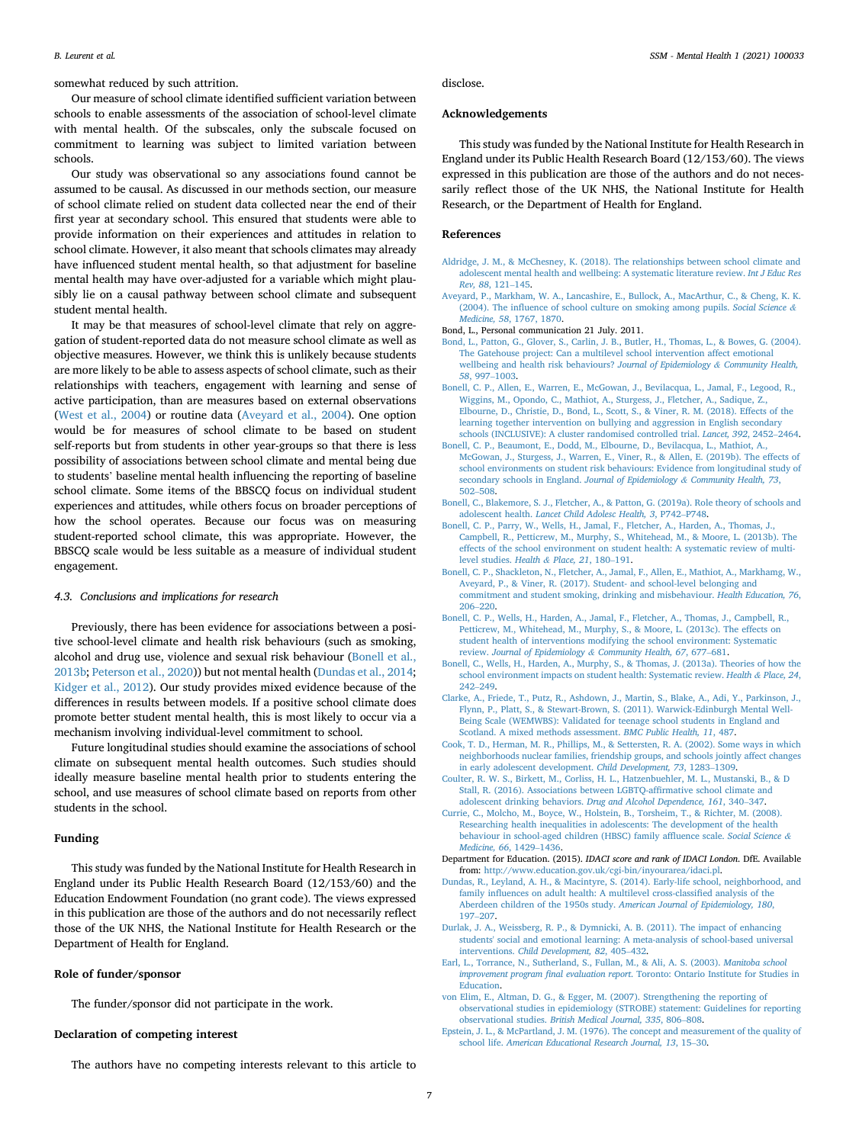somewhat reduced by such attrition.

Our measure of school climate identified sufficient variation between schools to enable assessments of the association of school-level climate with mental health. Of the subscales, only the subscale focused on commitment to learning was subject to limited variation between schools.

Our study was observational so any associations found cannot be assumed to be causal. As discussed in our methods section, our measure of school climate relied on student data collected near the end of their first year at secondary school. This ensured that students were able to provide information on their experiences and attitudes in relation to school climate. However, it also meant that schools climates may already have influenced student mental health, so that adjustment for baseline mental health may have over-adjusted for a variable which might plausibly lie on a causal pathway between school climate and subsequent student mental health.

It may be that measures of school-level climate that rely on aggregation of student-reported data do not measure school climate as well as objective measures. However, we think this is unlikely because students are more likely to be able to assess aspects of school climate, such as their relationships with teachers, engagement with learning and sense of active participation, than are measures based on external observations ([West et al., 2004\)](#page-7-27) or routine data ([Aveyard et al., 2004\)](#page-6-20). One option would be for measures of school climate to be based on student self-reports but from students in other year-groups so that there is less possibility of associations between school climate and mental being due to students' baseline mental health influencing the reporting of baseline school climate. Some items of the BBSCQ focus on individual student experiences and attitudes, while others focus on broader perceptions of how the school operates. Because our focus was on measuring student-reported school climate, this was appropriate. However, the BBSCQ scale would be less suitable as a measure of individual student engagement.

### 4.3. Conclusions and implications for research

Previously, there has been evidence for associations between a positive school-level climate and health risk behaviours (such as smoking, alcohol and drug use, violence and sexual risk behaviour [\(Bonell et al.,](#page-6-2) [2013b;](#page-6-2) [Peterson et al., 2020\)](#page-7-8)) but not mental health [\(Dundas et al., 2014;](#page-6-6) [Kidger et al., 2012](#page-7-7)). Our study provides mixed evidence because of the differences in results between models. If a positive school climate does promote better student mental health, this is most likely to occur via a mechanism involving individual-level commitment to school.

Future longitudinal studies should examine the associations of school climate on subsequent mental health outcomes. Such studies should ideally measure baseline mental health prior to students entering the school, and use measures of school climate based on reports from other students in the school.

### Funding

This study was funded by the National Institute for Health Research in England under its Public Health Research Board (12/153/60) and the Education Endowment Foundation (no grant code). The views expressed in this publication are those of the authors and do not necessarily reflect those of the UK NHS, the National Institute for Health Research or the Department of Health for England.

### Role of funder/sponsor

The funder/sponsor did not participate in the work.

### Declaration of competing interest

The authors have no competing interests relevant to this article to

disclose.

### Acknowledgements

This study was funded by the National Institute for Health Research in England under its Public Health Research Board (12/153/60). The views expressed in this publication are those of the authors and do not necessarily reflect those of the UK NHS, the National Institute for Health Research, or the Department of Health for England.

### References

- <span id="page-6-1"></span>[Aldridge, J. M., & McChesney, K. \(2018\). The relationships between school climate and](http://refhub.elsevier.com/S2666-5603(21)00033-5/sref1) [adolescent mental health and wellbeing: A systematic literature review.](http://refhub.elsevier.com/S2666-5603(21)00033-5/sref1) Int J Educ Res [Rev, 88](http://refhub.elsevier.com/S2666-5603(21)00033-5/sref1), 121–[145.](http://refhub.elsevier.com/S2666-5603(21)00033-5/sref1)
- <span id="page-6-20"></span>[Aveyard, P., Markham, W. A., Lancashire, E., Bullock, A., MacArthur, C., & Cheng, K. K.](http://refhub.elsevier.com/S2666-5603(21)00033-5/sref2) (2004). The infl[uence of school culture on smoking among pupils.](http://refhub.elsevier.com/S2666-5603(21)00033-5/sref2) Social Science & Medicine, 58[, 1767, 1870](http://refhub.elsevier.com/S2666-5603(21)00033-5/sref2).

<span id="page-6-14"></span>Bond, L., Personal communication 21 July. 2011.

- <span id="page-6-11"></span>[Bond, L., Patton, G., Glover, S., Carlin, J. B., Butler, H., Thomas, L., & Bowes, G. \(2004\).](http://refhub.elsevier.com/S2666-5603(21)00033-5/sref4) [The Gatehouse project: Can a multilevel school intervention affect emotional](http://refhub.elsevier.com/S2666-5603(21)00033-5/sref4) [wellbeing and health risk behaviours?](http://refhub.elsevier.com/S2666-5603(21)00033-5/sref4) Journal of Epidemiology & [Community Health,](http://refhub.elsevier.com/S2666-5603(21)00033-5/sref4) <sup>58</sup>[, 997](http://refhub.elsevier.com/S2666-5603(21)00033-5/sref4)–[1003.](http://refhub.elsevier.com/S2666-5603(21)00033-5/sref4)
- <span id="page-6-8"></span>[Bonell, C. P., Allen, E., Warren, E., McGowan, J., Bevilacqua, L., Jamal, F., Legood, R.,](http://refhub.elsevier.com/S2666-5603(21)00033-5/sref5) [Wiggins, M., Opondo, C., Mathiot, A., Sturgess, J., Fletcher, A., Sadique, Z.,](http://refhub.elsevier.com/S2666-5603(21)00033-5/sref5) [Elbourne, D., Christie, D., Bond, L., Scott, S., & Viner, R. M. \(2018\). Effects of the](http://refhub.elsevier.com/S2666-5603(21)00033-5/sref5) [learning together intervention on bullying and aggression in English secondary](http://refhub.elsevier.com/S2666-5603(21)00033-5/sref5) [schools \(INCLUSIVE\): A cluster randomised controlled trial.](http://refhub.elsevier.com/S2666-5603(21)00033-5/sref5) Lancet, 392, 2452–[2464.](http://refhub.elsevier.com/S2666-5603(21)00033-5/sref5)
- <span id="page-6-16"></span>[Bonell, C. P., Beaumont, E., Dodd, M., Elbourne, D., Bevilacqua, L., Mathiot, A.,](http://refhub.elsevier.com/S2666-5603(21)00033-5/sref6) [McGowan, J., Sturgess, J., Warren, E., Viner, R., & Allen, E. \(2019b\). The effects of](http://refhub.elsevier.com/S2666-5603(21)00033-5/sref6) [school environments on student risk behaviours: Evidence from longitudinal study of](http://refhub.elsevier.com/S2666-5603(21)00033-5/sref6) [secondary schools in England.](http://refhub.elsevier.com/S2666-5603(21)00033-5/sref6) Journal of Epidemiology & [Community Health, 73](http://refhub.elsevier.com/S2666-5603(21)00033-5/sref6), [502](http://refhub.elsevier.com/S2666-5603(21)00033-5/sref6)–[508](http://refhub.elsevier.com/S2666-5603(21)00033-5/sref6).
- <span id="page-6-9"></span>[Bonell, C., Blakemore, S. J., Fletcher, A., & Patton, G. \(2019a\). Role theory of schools and](http://refhub.elsevier.com/S2666-5603(21)00033-5/sref7) adolescent health. [Lancet Child Adolesc Health, 3](http://refhub.elsevier.com/S2666-5603(21)00033-5/sref7), P742–[P748](http://refhub.elsevier.com/S2666-5603(21)00033-5/sref7).
- <span id="page-6-2"></span>[Bonell, C. P., Parry, W., Wells, H., Jamal, F., Fletcher, A., Harden, A., Thomas, J.,](http://refhub.elsevier.com/S2666-5603(21)00033-5/sref8) [Campbell, R., Petticrew, M., Murphy, S., Whitehead, M., & Moore, L. \(2013b\). The](http://refhub.elsevier.com/S2666-5603(21)00033-5/sref8) [effects of the school environment on student health: A systematic review of multi](http://refhub.elsevier.com/S2666-5603(21)00033-5/sref8)[level studies.](http://refhub.elsevier.com/S2666-5603(21)00033-5/sref8) Health & [Place, 21](http://refhub.elsevier.com/S2666-5603(21)00033-5/sref8), 180–[191](http://refhub.elsevier.com/S2666-5603(21)00033-5/sref8).
- <span id="page-6-15"></span>[Bonell, C. P., Shackleton, N., Fletcher, A., Jamal, F., Allen, E., Mathiot, A., Markhamg, W.,](http://refhub.elsevier.com/S2666-5603(21)00033-5/sref9) [Aveyard, P., & Viner, R. \(2017\). Student- and school-level belonging and](http://refhub.elsevier.com/S2666-5603(21)00033-5/sref9) [commitment and student smoking, drinking and misbehaviour.](http://refhub.elsevier.com/S2666-5603(21)00033-5/sref9) Health Education, 76, [206](http://refhub.elsevier.com/S2666-5603(21)00033-5/sref9)–[220](http://refhub.elsevier.com/S2666-5603(21)00033-5/sref9).
- <span id="page-6-7"></span>[Bonell, C. P., Wells, H., Harden, A., Jamal, F., Fletcher, A., Thomas, J., Campbell, R.,](http://refhub.elsevier.com/S2666-5603(21)00033-5/sref10) [Petticrew, M., Whitehead, M., Murphy, S., & Moore, L. \(2013c\). The effects on](http://refhub.elsevier.com/S2666-5603(21)00033-5/sref10) [student health of interventions modifying the school environment: Systematic](http://refhub.elsevier.com/S2666-5603(21)00033-5/sref10) review. [Journal of Epidemiology](http://refhub.elsevier.com/S2666-5603(21)00033-5/sref10) & [Community Health, 67](http://refhub.elsevier.com/S2666-5603(21)00033-5/sref10), 677–[681](http://refhub.elsevier.com/S2666-5603(21)00033-5/sref10).
- <span id="page-6-0"></span>[Bonell, C., Wells, H., Harden, A., Murphy, S., & Thomas, J. \(2013a\). Theories of how the](http://refhub.elsevier.com/S2666-5603(21)00033-5/sref11) [school environment impacts on student health: Systematic review.](http://refhub.elsevier.com/S2666-5603(21)00033-5/sref11) Health & [Place, 24](http://refhub.elsevier.com/S2666-5603(21)00033-5/sref11), [242](http://refhub.elsevier.com/S2666-5603(21)00033-5/sref11)–[249](http://refhub.elsevier.com/S2666-5603(21)00033-5/sref11).
- <span id="page-6-17"></span>[Clarke, A., Friede, T., Putz, R., Ashdown, J., Martin, S., Blake, A., Adi, Y., Parkinson, J.,](http://refhub.elsevier.com/S2666-5603(21)00033-5/sref12) [Flynn, P., Platt, S., & Stewart-Brown, S. \(2011\). Warwick-Edinburgh Mental Well-](http://refhub.elsevier.com/S2666-5603(21)00033-5/sref12)[Being Scale \(WEMWBS\): Validated for teenage school students in England and](http://refhub.elsevier.com/S2666-5603(21)00033-5/sref12) [Scotland. A mixed methods assessment.](http://refhub.elsevier.com/S2666-5603(21)00033-5/sref12) BMC Public Health, 11, 487.
- <span id="page-6-5"></span>[Cook, T. D., Herman, M. R., Phillips, M., & Settersten, R. A. \(2002\). Some ways in which](http://refhub.elsevier.com/S2666-5603(21)00033-5/sref13) [neighborhoods nuclear families, friendship groups, and schools jointly affect changes](http://refhub.elsevier.com/S2666-5603(21)00033-5/sref13) [in early adolescent development.](http://refhub.elsevier.com/S2666-5603(21)00033-5/sref13) Child Development, 73, 1283–[1309](http://refhub.elsevier.com/S2666-5603(21)00033-5/sref13).
- <span id="page-6-3"></span>[Coulter, R. W. S., Birkett, M., Corliss, H. L., Hatzenbuehler, M. L., Mustanski, B., & D](http://refhub.elsevier.com/S2666-5603(21)00033-5/sref14) [Stall, R. \(2016\). Associations between LGBTQ-af](http://refhub.elsevier.com/S2666-5603(21)00033-5/sref14)firmative school climate and adolescent drinking behaviors. [Drug and Alcohol Dependence, 161](http://refhub.elsevier.com/S2666-5603(21)00033-5/sref14), 340–[347](http://refhub.elsevier.com/S2666-5603(21)00033-5/sref14).
- <span id="page-6-19"></span>[Currie, C., Molcho, M., Boyce, W., Holstein, B., Torsheim, T., & Richter, M. \(2008\).](http://refhub.elsevier.com/S2666-5603(21)00033-5/sref15) [Researching health inequalities in adolescents: The development of the health](http://refhub.elsevier.com/S2666-5603(21)00033-5/sref15) [behaviour in school-aged children \(HBSC\) family af](http://refhub.elsevier.com/S2666-5603(21)00033-5/sref15)fluence scale. Social Science & [Medicine, 66](http://refhub.elsevier.com/S2666-5603(21)00033-5/sref15), 1429–[1436.](http://refhub.elsevier.com/S2666-5603(21)00033-5/sref15)
- <span id="page-6-18"></span>Department for Education. (2015). IDACI score and rank of IDACI London. DfE. Available from: <http://www.education.gov.uk/cgi-bin/inyourarea/idaci.pl>.
- <span id="page-6-6"></span>[Dundas, R., Leyland, A. H., & Macintyre, S. \(2014\). Early-life school, neighborhood, and](http://refhub.elsevier.com/S2666-5603(21)00033-5/sref17) family infl[uences on adult health: A multilevel cross-classi](http://refhub.elsevier.com/S2666-5603(21)00033-5/sref17)fied analysis of the [Aberdeen children of the 1950s study.](http://refhub.elsevier.com/S2666-5603(21)00033-5/sref17) American Journal of Epidemiology, 180, [197](http://refhub.elsevier.com/S2666-5603(21)00033-5/sref17)–[207](http://refhub.elsevier.com/S2666-5603(21)00033-5/sref17).
- <span id="page-6-4"></span>[Durlak, J. A., Weissberg, R. P., & Dymnicki, A. B. \(2011\). The impact of enhancing](http://refhub.elsevier.com/S2666-5603(21)00033-5/sref18) [students' social and emotional learning: A meta-analysis of school-based universal](http://refhub.elsevier.com/S2666-5603(21)00033-5/sref18) interventions. [Child Development, 82](http://refhub.elsevier.com/S2666-5603(21)00033-5/sref18), 405–[432](http://refhub.elsevier.com/S2666-5603(21)00033-5/sref18).
- <span id="page-6-13"></span>[Earl, L., Torrance, N., Sutherland, S., Fullan, M., & Ali, A. S. \(2003\).](http://refhub.elsevier.com/S2666-5603(21)00033-5/sref19) Manitoba school improvement program final evaluation report[. Toronto: Ontario Institute for Studies in](http://refhub.elsevier.com/S2666-5603(21)00033-5/sref19) [Education.](http://refhub.elsevier.com/S2666-5603(21)00033-5/sref19)
- <span id="page-6-10"></span>[von Elim, E., Altman, D. G., & Egger, M. \(2007\). Strengthening the reporting of](http://refhub.elsevier.com/S2666-5603(21)00033-5/sref20) [observational studies in epidemiology \(STROBE\) statement: Guidelines for reporting](http://refhub.elsevier.com/S2666-5603(21)00033-5/sref20) observational studies. [British Medical Journal, 335](http://refhub.elsevier.com/S2666-5603(21)00033-5/sref20), 806–[808.](http://refhub.elsevier.com/S2666-5603(21)00033-5/sref20)
- <span id="page-6-12"></span>[Epstein, J. L., & McPartland, J. M. \(1976\). The concept and measurement of the quality of](http://refhub.elsevier.com/S2666-5603(21)00033-5/sref21) school life. [American Educational Research Journal, 13](http://refhub.elsevier.com/S2666-5603(21)00033-5/sref21), 15–[30](http://refhub.elsevier.com/S2666-5603(21)00033-5/sref21).